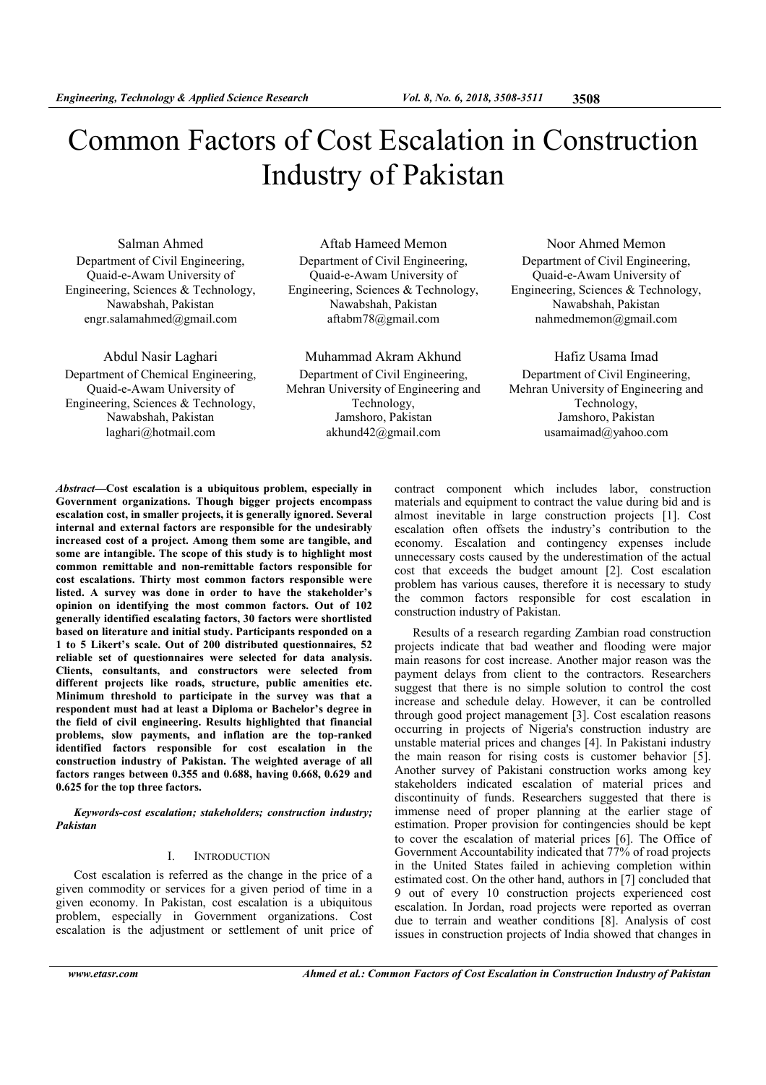# Common Factors of Cost Escalation in Construction Industry of Pakistan

Salman Ahmed Department of Civil Engineering, Quaid-e-Awam University of Engineering, Sciences & Technology, Nawabshah, Pakistan engr.salamahmed@gmail.com

Abdul Nasir Laghari Department of Chemical Engineering, Quaid-e-Awam University of Engineering, Sciences & Technology, Nawabshah, Pakistan laghari@hotmail.com

Aftab Hameed Memon Department of Civil Engineering, Quaid-e-Awam University of Engineering, Sciences & Technology, Nawabshah, Pakistan aftabm78@gmail.com

Muhammad Akram Akhund Department of Civil Engineering, Mehran University of Engineering and Technology, Jamshoro, Pakistan akhund42@gmail.com

Noor Ahmed Memon Department of Civil Engineering, Quaid-e-Awam University of Engineering, Sciences & Technology, Nawabshah, Pakistan nahmedmemon@gmail.com

Hafiz Usama Imad Department of Civil Engineering, Mehran University of Engineering and Technology, Jamshoro, Pakistan usamaimad@yahoo.com

Abstract—Cost escalation is a ubiquitous problem, especially in Government organizations. Though bigger projects encompass escalation cost, in smaller projects, it is generally ignored. Several internal and external factors are responsible for the undesirably increased cost of a project. Among them some are tangible, and some are intangible. The scope of this study is to highlight most common remittable and non-remittable factors responsible for cost escalations. Thirty most common factors responsible were listed. A survey was done in order to have the stakeholder's opinion on identifying the most common factors. Out of 102 generally identified escalating factors, 30 factors were shortlisted based on literature and initial study. Participants responded on a 1 to 5 Likert's scale. Out of 200 distributed questionnaires, 52 reliable set of questionnaires were selected for data analysis. Clients, consultants, and constructors were selected from different projects like roads, structure, public amenities etc. Minimum threshold to participate in the survey was that a respondent must had at least a Diploma or Bachelor's degree in the field of civil engineering. Results highlighted that financial problems, slow payments, and inflation are the top-ranked identified factors responsible for cost escalation in the construction industry of Pakistan. The weighted average of all factors ranges between 0.355 and 0.688, having 0.668, 0.629 and 0.625 for the top three factors.

Keywords-cost escalation; stakeholders; construction industry; Pakistan

### I. INTRODUCTION

Cost escalation is referred as the change in the price of a given commodity or services for a given period of time in a given economy. In Pakistan, cost escalation is a ubiquitous problem, especially in Government organizations. Cost escalation is the adjustment or settlement of unit price of contract component which includes labor, construction materials and equipment to contract the value during bid and is almost inevitable in large construction projects [1]. Cost escalation often offsets the industry's contribution to the economy. Escalation and contingency expenses include unnecessary costs caused by the underestimation of the actual cost that exceeds the budget amount [2]. Cost escalation problem has various causes, therefore it is necessary to study the common factors responsible for cost escalation in construction industry of Pakistan.

Results of a research regarding Zambian road construction projects indicate that bad weather and flooding were major main reasons for cost increase. Another major reason was the payment delays from client to the contractors. Researchers suggest that there is no simple solution to control the cost increase and schedule delay. However, it can be controlled through good project management [3]. Cost escalation reasons occurring in projects of Nigeria's construction industry are unstable material prices and changes [4]. In Pakistani industry the main reason for rising costs is customer behavior [5]. Another survey of Pakistani construction works among key stakeholders indicated escalation of material prices and discontinuity of funds. Researchers suggested that there is immense need of proper planning at the earlier stage of estimation. Proper provision for contingencies should be kept to cover the escalation of material prices [6]. The Office of Government Accountability indicated that 77% of road projects in the United States failed in achieving completion within estimated cost. On the other hand, authors in [7] concluded that 9 out of every 10 construction projects experienced cost escalation. In Jordan, road projects were reported as overran due to terrain and weather conditions [8]. Analysis of cost issues in construction projects of India showed that changes in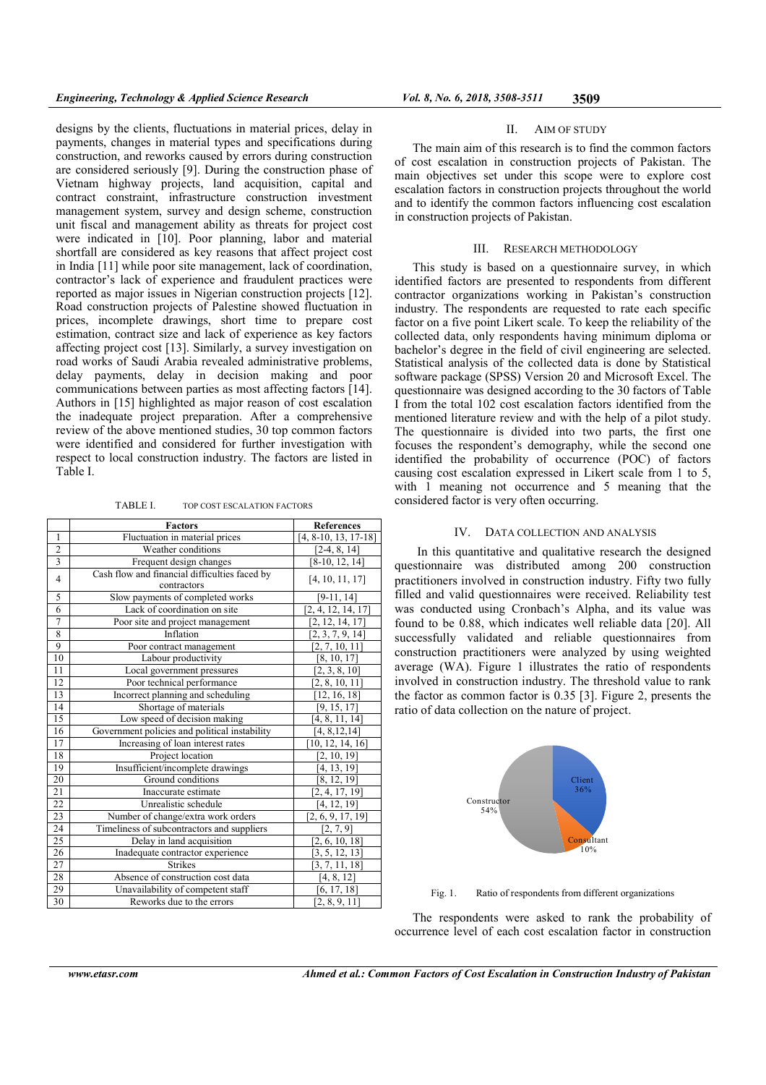designs by the clients, fluctuations in material prices, delay in payments, changes in material types and specifications during construction, and reworks caused by errors during construction are considered seriously [9]. During the construction phase of Vietnam highway projects, land acquisition, capital and contract constraint, infrastructure construction investment management system, survey and design scheme, construction unit fiscal and management ability as threats for project cost were indicated in [10]. Poor planning, labor and material shortfall are considered as key reasons that affect project cost in India [11] while poor site management, lack of coordination, contractor's lack of experience and fraudulent practices were reported as major issues in Nigerian construction projects [12]. Road construction projects of Palestine showed fluctuation in prices, incomplete drawings, short time to prepare cost estimation, contract size and lack of experience as key factors affecting project cost [13]. Similarly, a survey investigation on road works of Saudi Arabia revealed administrative problems, delay payments, delay in decision making and poor communications between parties as most affecting factors [14]. Authors in [15] highlighted as major reason of cost escalation the inadequate project preparation. After a comprehensive review of the above mentioned studies, 30 top common factors were identified and considered for further investigation with respect to local construction industry. The factors are listed in Table I.

TABLE I. TOP COST ESCALATION FACTORS

|                 | <b>Factors</b>                                | <b>References</b>      |  |  |
|-----------------|-----------------------------------------------|------------------------|--|--|
| $\mathbf{1}$    | Fluctuation in material prices                | $[4, 8-10, 13, 17-18]$ |  |  |
| $\overline{2}$  | Weather conditions                            | $[2-4, 8, 14]$         |  |  |
| 3               | Frequent design changes                       | $[8-10, 12, 14]$       |  |  |
| $\overline{4}$  | Cash flow and financial difficulties faced by | [4, 10, 11, 17]        |  |  |
|                 | contractors                                   |                        |  |  |
| 5               | Slow payments of completed works              | $[9-11, 14]$           |  |  |
| 6               | Lack of coordination on site                  | [2, 4, 12, 14, 17]     |  |  |
| 7               | Poor site and project management              | [2, 12, 14, 17]        |  |  |
| 8               | Inflation                                     | [2, 3, 7, 9, 14]       |  |  |
| 9               | Poor contract management                      | [2, 7, 10, 11]         |  |  |
| 10              | Labour productivity                           | [8, 10, 17]            |  |  |
| 11              | Local government pressures                    | [2, 3, 8, 10]          |  |  |
| 12              | Poor technical performance                    | [2, 8, 10, 11]         |  |  |
| 13              | Incorrect planning and scheduling             | [12, 16, 18]           |  |  |
| 14              | Shortage of materials                         | [9, 15, 17]            |  |  |
| 15              | Low speed of decision making                  | [4, 8, 11, 14]         |  |  |
| 16              | Government policies and political instability | [4, 8, 12, 14]         |  |  |
| 17              | Increasing of loan interest rates             | [10, 12, 14, 16]       |  |  |
| 18              | Project location                              | [2, 10, 19]            |  |  |
| 19              | Insufficient/incomplete drawings              | [4, 13, 19]            |  |  |
| 20              | Ground conditions                             | [8, 12, 19]            |  |  |
| 21              | Inaccurate estimate                           | [2, 4, 17, 19]         |  |  |
| $\overline{22}$ | Unrealistic schedule                          | [4, 12, 19]            |  |  |
| 23              | Number of change/extra work orders            | [2, 6, 9, 17, 19]      |  |  |
| 24              | Timeliness of subcontractors and suppliers    | [2, 7, 9]              |  |  |
| 25              | Delay in land acquisition                     | [2, 6, 10, 18]         |  |  |
| 26              | Inadequate contractor experience              | [3, 5, 12, 13]         |  |  |
| 27              | <b>Strikes</b>                                | [3, 7, 11, 18]         |  |  |
| 28              | Absence of construction cost data             | [4, 8, 12]             |  |  |
| 29              | Unavailability of competent staff             | [6, 17, 18]            |  |  |
| 30              | Reworks due to the errors                     | [2, 8, 9, 11]          |  |  |

#### II. AIM OF STUDY

The main aim of this research is to find the common factors of cost escalation in construction projects of Pakistan. The main objectives set under this scope were to explore cost escalation factors in construction projects throughout the world and to identify the common factors influencing cost escalation in construction projects of Pakistan.

#### III. RESEARCH METHODOLOGY

This study is based on a questionnaire survey, in which identified factors are presented to respondents from different contractor organizations working in Pakistan's construction industry. The respondents are requested to rate each specific factor on a five point Likert scale. To keep the reliability of the collected data, only respondents having minimum diploma or bachelor's degree in the field of civil engineering are selected. Statistical analysis of the collected data is done by Statistical software package (SPSS) Version 20 and Microsoft Excel. The questionnaire was designed according to the 30 factors of Table I from the total 102 cost escalation factors identified from the mentioned literature review and with the help of a pilot study. The questionnaire is divided into two parts, the first one focuses the respondent's demography, while the second one identified the probability of occurrence (POC) of factors causing cost escalation expressed in Likert scale from 1 to 5, with 1 meaning not occurrence and 5 meaning that the considered factor is very often occurring.

# IV. DATA COLLECTION AND ANALYSIS

In this quantitative and qualitative research the designed questionnaire was distributed among 200 construction practitioners involved in construction industry. Fifty two fully filled and valid questionnaires were received. Reliability test was conducted using Cronbach's Alpha, and its value was found to be 0.88, which indicates well reliable data [20]. All successfully validated and reliable questionnaires from construction practitioners were analyzed by using weighted average (WA). Figure 1 illustrates the ratio of respondents involved in construction industry. The threshold value to rank the factor as common factor is 0.35 [3]. Figure 2, presents the ratio of data collection on the nature of project.



Fig. 1. Ratio of respondents from different organizations

The respondents were asked to rank the probability of occurrence level of each cost escalation factor in construction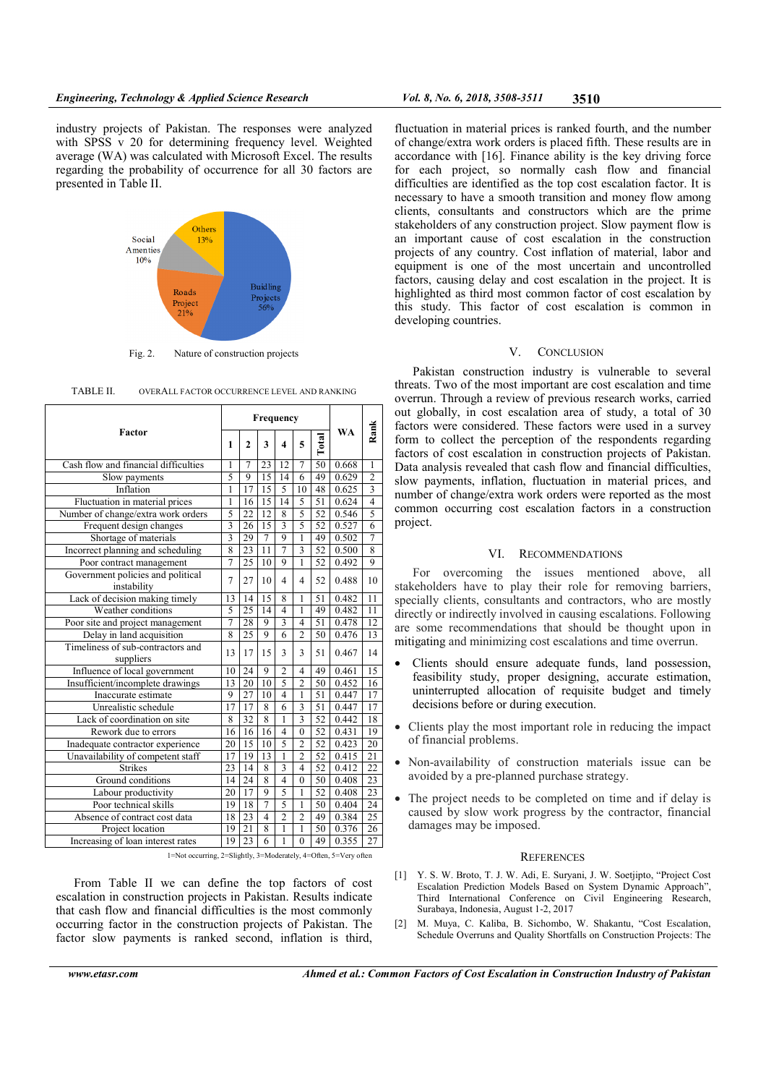industry projects of Pakistan. The responses were analyzed with SPSS v 20 for determining frequency level. Weighted average (WA) was calculated with Microsoft Excel. The results regarding the probability of occurrence for all 30 factors are presented in Table II.



Fig. 2. Nature of construction projects

| Factor                                                           |                | Frequency       |                 |                         |                         |                 |           |                 |
|------------------------------------------------------------------|----------------|-----------------|-----------------|-------------------------|-------------------------|-----------------|-----------|-----------------|
|                                                                  |                | $\mathbf{2}$    | 3               | 4                       | 5                       | Total           | <b>WA</b> | Rank            |
| Cash flow and financial difficulties                             | 1              | $\overline{7}$  | $\overline{2}3$ | $\overline{12}$         | $\overline{7}$          | 50              | 0.668     | $\mathbf{1}$    |
| Slow payments                                                    | 5              | $\overline{9}$  | $\overline{15}$ | 14                      | 6                       | 49              | 0.629     | $\overline{2}$  |
| Inflation                                                        | $\mathbf{1}$   | 17              | $\overline{15}$ | $\overline{5}$          | 10                      | 48              | 0.625     | $\overline{3}$  |
| Fluctuation in material prices                                   | 1              | 16              | 15              | 14                      | 5                       | 51              | 0.624     | $\overline{4}$  |
| Number of change/extra work orders                               | 5              | $\overline{22}$ | $\overline{12}$ | 8                       | 5                       | $\overline{52}$ | 0.546     | 5               |
| Frequent design changes                                          | $\overline{3}$ | 26              | 15              | $\overline{3}$          | 5                       | 52              | 0.527     | $\overline{6}$  |
| Shortage of materials                                            | $\overline{3}$ | 29              | $\overline{7}$  | $\overline{9}$          | ī                       | 49              | 0.502     | 7               |
| Incorrect planning and scheduling                                | 8              | 23              | 11              | $\overline{7}$          | $\overline{\mathbf{3}}$ | 52              | 0.500     | $\overline{8}$  |
| Poor contract management                                         | $\overline{7}$ | $\overline{25}$ | 10              | $\overline{9}$          | $\mathbf{1}$            | 52              | 0.492     | $\overline{9}$  |
| Government policies and political<br>instability                 | $\overline{7}$ | 27              | 10              | 4                       | $\overline{\mathbf{4}}$ | 52              | 0.488     | 10              |
| Lack of decision making timely                                   | 13             | 14              | 15              | 8                       | 1                       | 51              | 0.482     | $\overline{11}$ |
| Weather conditions                                               | 5              | 25              | 14              | $\overline{\mathbf{4}}$ | 1                       | 49              | 0.482     | 11              |
| Poor site and project management                                 | 7              | 28              | 9               | $\overline{3}$          | $\overline{4}$          | $\overline{51}$ | 0.478     | $\overline{12}$ |
| Delay in land acquisition                                        | 8              | 25              | 9               | 6                       | $\overline{2}$          | 50              | 0.476     | 13              |
| Timeliness of sub-contractors and<br>suppliers                   | 13             | 17              | 15              | 3                       | 3                       | 51              | 0.467     | 14              |
| Influence of local government                                    | 10             | 24              | 9               | $\overline{2}$          | $\overline{4}$          | 49              | 0.461     | 15              |
| Insufficient/incomplete drawings                                 | 13             | 20              | 10              | 5                       | $\overline{2}$          | 50              | 0.452     | 16              |
| Inaccurate estimate                                              | 9              | $\overline{27}$ | 10              | $\overline{4}$          | 1                       | $\overline{51}$ | 0.447     | 17              |
| Unrealistic schedule                                             | 17             | 17              | 8               | 6                       | $\overline{3}$          | 51              | 0.447     | 17              |
| Lack of coordination on site                                     | 8              | 32              | 8               | 1                       | $\overline{\mathbf{3}}$ | 52              | 0.442     | 18              |
| Rework due to errors                                             | 16             | 16              | 16              | $\overline{4}$          | $\overline{0}$          | 52              | 0.431     | 19              |
| Inadequate contractor experience                                 | 20             | 15              | 10              | 5                       | $\overline{2}$          | 52              | 0.423     | 20              |
| Unavailability of competent staff                                | 17             | 19              | 13              | 1                       | $\overline{2}$          | 52              | 0.415     | $\overline{21}$ |
| <b>Strikes</b>                                                   | 23             | 14              | 8               | $\overline{3}$          | $\overline{4}$          | 52              | 0.412     | 22              |
| Ground conditions                                                | 14             | 24              | 8               | $\overline{4}$          | $\overline{0}$          | 50              | 0.408     | 23              |
| Labour productivity                                              | 20             | 17              | 9               | 5                       | 1                       | 52              | 0.408     | 23              |
| Poor technical skills                                            | 19             | 18              | $\overline{7}$  | 5                       | $\mathbf{1}$            | 50              | 0.404     | 24              |
| Absence of contract cost data                                    | 18             | 23              | $\overline{4}$  | $\overline{2}$          | $\overline{2}$          | 49              | 0.384     | 25              |
| Project location                                                 | 19             | $\overline{21}$ | 8               | $\mathbf{1}$            | $\mathbf{1}$            | 50              | 0.376     | 26              |
| Increasing of loan interest rates                                | 19             | 23              | 6               | 1                       | $\theta$                | 49              | 0.355     | 27              |
| 1=Not occurring, 2=Slightly, 3=Moderately, 4=Often, 5=Very often |                |                 |                 |                         |                         |                 |           |                 |

| TABLE II.<br>OVERALL FACTOR OCCURRENCE LEVEL AND RANKING |
|----------------------------------------------------------|
|----------------------------------------------------------|

1=Not occurring, 2=Slightly, 3=Moderately, 4=Often, 5=Very often

From Table II we can define the top factors of cost escalation in construction projects in Pakistan. Results indicate that cash flow and financial difficulties is the most commonly occurring factor in the construction projects of Pakistan. The factor slow payments is ranked second, inflation is third,

fluctuation in material prices is ranked fourth, and the number of change/extra work orders is placed fifth. These results are in accordance with [16]. Finance ability is the key driving force for each project, so normally cash flow and financial difficulties are identified as the top cost escalation factor. It is necessary to have a smooth transition and money flow among clients, consultants and constructors which are the prime stakeholders of any construction project. Slow payment flow is an important cause of cost escalation in the construction projects of any country. Cost inflation of material, labor and equipment is one of the most uncertain and uncontrolled factors, causing delay and cost escalation in the project. It is highlighted as third most common factor of cost escalation by this study. This factor of cost escalation is common in developing countries.

## V. CONCLUSION

Pakistan construction industry is vulnerable to several threats. Two of the most important are cost escalation and time overrun. Through a review of previous research works, carried out globally, in cost escalation area of study, a total of 30 factors were considered. These factors were used in a survey form to collect the perception of the respondents regarding factors of cost escalation in construction projects of Pakistan. Data analysis revealed that cash flow and financial difficulties, slow payments, inflation, fluctuation in material prices, and number of change/extra work orders were reported as the most common occurring cost escalation factors in a construction project.

# VI. RECOMMENDATIONS

For overcoming the issues mentioned above, all stakeholders have to play their role for removing barriers, specially clients, consultants and contractors, who are mostly directly or indirectly involved in causing escalations. Following are some recommendations that should be thought upon in mitigating and minimizing cost escalations and time overrun.

- Clients should ensure adequate funds, land possession, feasibility study, proper designing, accurate estimation, uninterrupted allocation of requisite budget and timely decisions before or during execution.
- Clients play the most important role in reducing the impact of financial problems.
- Non-availability of construction materials issue can be avoided by a pre-planned purchase strategy.
- The project needs to be completed on time and if delay is caused by slow work progress by the contractor, financial damages may be imposed.

#### **REFERENCES**

- [1] Y. S. W. Broto, T. J. W. Adi, E. Suryani, J. W. Soetjipto, "Project Cost Escalation Prediction Models Based on System Dynamic Approach", Third International Conference on Civil Engineering Research, Surabaya, Indonesia, August 1-2, 2017
- [2] M. Muya, C. Kaliba, B. Sichombo, W. Shakantu, "Cost Escalation, Schedule Overruns and Quality Shortfalls on Construction Projects: The